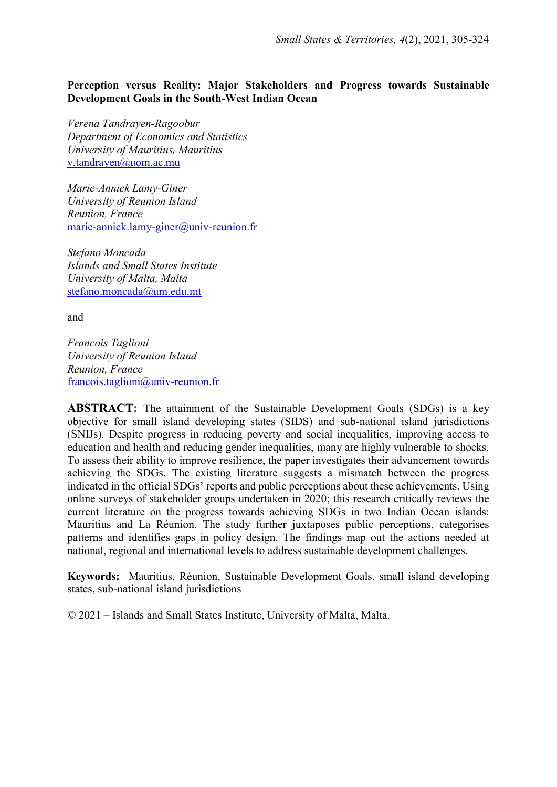## Perception versus Reality: Major Stakeholders and Progress towards Sustainable Development Goals in the South-West Indian Ocean

Verena Tandrayen-Ragoobur Department of Economics and Statistics University of Mauritius, Mauritius v.tandrayen@uom.ac.mu

Marie-Annick Lamy-Giner University of Reunion Island Reunion, France marie-annick.lamy-giner@univ-reunion.fr

Stefano Moncada Islands and Small States Institute University of Malta, Malta stefano.moncada@um.edu.mt

and

Francois Taglioni University of Reunion Island Reunion, France francois.taglioni@univ-reunion.fr

ABSTRACT: The attainment of the Sustainable Development Goals (SDGs) is a key objective for small island developing states (SIDS) and sub-national island jurisdictions (SNIJs). Despite progress in reducing poverty and social inequalities, improving access to education and health and reducing gender inequalities, many are highly vulnerable to shocks. To assess their ability to improve resilience, the paper investigates their advancement towards achieving the SDGs. The existing literature suggests a mismatch between the progress indicated in the official SDGs' reports and public perceptions about these achievements. Using online surveys of stakeholder groups undertaken in 2020; this research critically reviews the current literature on the progress towards achieving SDGs in two Indian Ocean islands: Mauritius and La Réunion. The study further juxtaposes public perceptions, categorises patterns and identifies gaps in policy design. The findings map out the actions needed at national, regional and international levels to address sustainable development challenges.

Keywords: Mauritius, Réunion, Sustainable Development Goals, small island developing states, sub-national island jurisdictions

© 2021 – Islands and Small States Institute, University of Malta, Malta.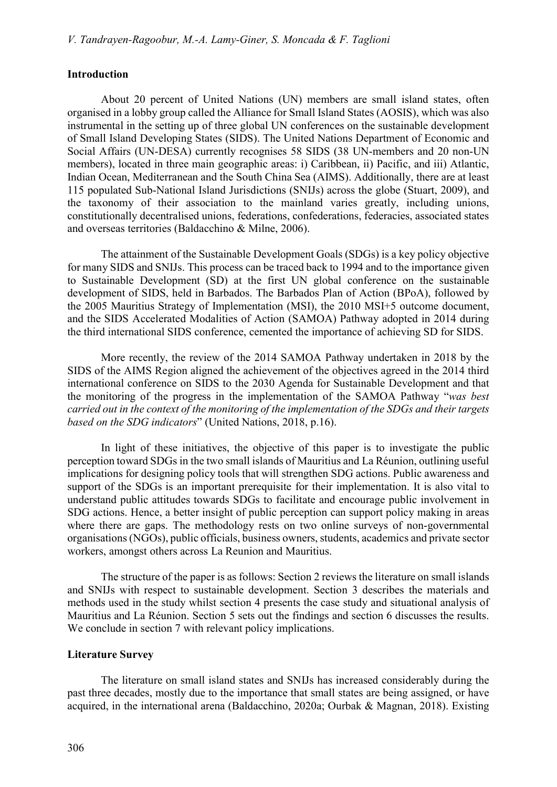### Introduction

 About 20 percent of United Nations (UN) members are small island states, often organised in a lobby group called the Alliance for Small Island States (AOSIS), which was also instrumental in the setting up of three global UN conferences on the sustainable development of Small Island Developing States (SIDS). The United Nations Department of Economic and Social Affairs (UN-DESA) currently recognises 58 SIDS (38 UN-members and 20 non-UN members), located in three main geographic areas: i) Caribbean, ii) Pacific, and iii) Atlantic, Indian Ocean, Mediterranean and the South China Sea (AIMS). Additionally, there are at least 115 populated Sub-National Island Jurisdictions (SNIJs) across the globe (Stuart, 2009), and the taxonomy of their association to the mainland varies greatly, including unions, constitutionally decentralised unions, federations, confederations, federacies, associated states and overseas territories (Baldacchino & Milne, 2006).

 The attainment of the Sustainable Development Goals (SDGs) is a key policy objective for many SIDS and SNIJs. This process can be traced back to 1994 and to the importance given to Sustainable Development (SD) at the first UN global conference on the sustainable development of SIDS, held in Barbados. The Barbados Plan of Action (BPoA), followed by the 2005 Mauritius Strategy of Implementation (MSI), the 2010 MSI+5 outcome document, and the SIDS Accelerated Modalities of Action (SAMOA) Pathway adopted in 2014 during the third international SIDS conference, cemented the importance of achieving SD for SIDS.

 More recently, the review of the 2014 SAMOA Pathway undertaken in 2018 by the SIDS of the AIMS Region aligned the achievement of the objectives agreed in the 2014 third international conference on SIDS to the 2030 Agenda for Sustainable Development and that the monitoring of the progress in the implementation of the SAMOA Pathway "was best carried out in the context of the monitoring of the implementation of the SDGs and their targets based on the SDG indicators" (United Nations, 2018, p.16).

 In light of these initiatives, the objective of this paper is to investigate the public perception toward SDGs in the two small islands of Mauritius and La Réunion, outlining useful implications for designing policy tools that will strengthen SDG actions. Public awareness and support of the SDGs is an important prerequisite for their implementation. It is also vital to understand public attitudes towards SDGs to facilitate and encourage public involvement in SDG actions. Hence, a better insight of public perception can support policy making in areas where there are gaps. The methodology rests on two online surveys of non-governmental organisations (NGOs), public officials, business owners, students, academics and private sector workers, amongst others across La Reunion and Mauritius.

 The structure of the paper is as follows: Section 2 reviews the literature on small islands and SNIJs with respect to sustainable development. Section 3 describes the materials and methods used in the study whilst section 4 presents the case study and situational analysis of Mauritius and La Réunion. Section 5 sets out the findings and section 6 discusses the results. We conclude in section 7 with relevant policy implications.

### Literature Survey

 The literature on small island states and SNIJs has increased considerably during the past three decades, mostly due to the importance that small states are being assigned, or have acquired, in the international arena (Baldacchino, 2020a; Ourbak & Magnan, 2018). Existing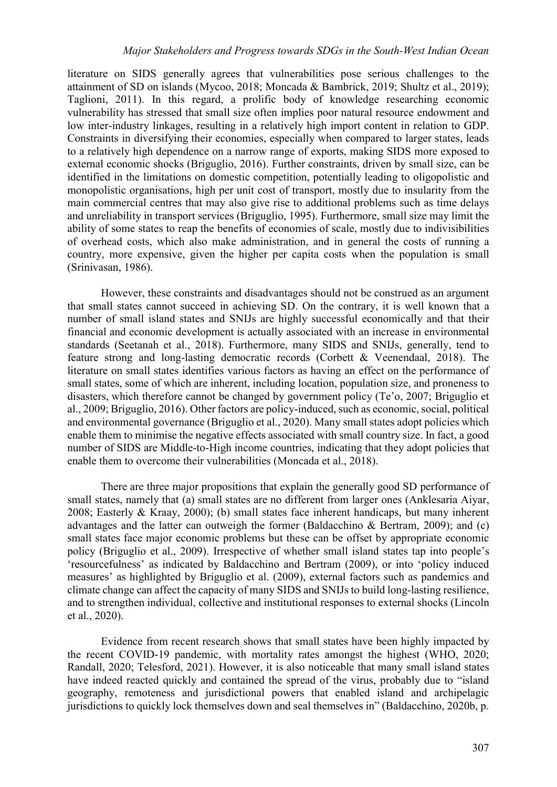literature on SIDS generally agrees that vulnerabilities pose serious challenges to the attainment of SD on islands (Mycoo, 2018; Moncada & Bambrick, 2019; Shultz et al., 2019); Taglioni, 2011). In this regard, a prolific body of knowledge researching economic vulnerability has stressed that small size often implies poor natural resource endowment and low inter-industry linkages, resulting in a relatively high import content in relation to GDP. Constraints in diversifying their economies, especially when compared to larger states, leads to a relatively high dependence on a narrow range of exports, making SIDS more exposed to external economic shocks (Briguglio, 2016). Further constraints, driven by small size, can be identified in the limitations on domestic competition, potentially leading to oligopolistic and monopolistic organisations, high per unit cost of transport, mostly due to insularity from the main commercial centres that may also give rise to additional problems such as time delays and unreliability in transport services (Briguglio, 1995). Furthermore, small size may limit the ability of some states to reap the benefits of economies of scale, mostly due to indivisibilities of overhead costs, which also make administration, and in general the costs of running a country, more expensive, given the higher per capita costs when the population is small (Srinivasan, 1986).

 However, these constraints and disadvantages should not be construed as an argument that small states cannot succeed in achieving SD. On the contrary, it is well known that a number of small island states and SNIJs are highly successful economically and that their financial and economic development is actually associated with an increase in environmental standards (Seetanah et al., 2018). Furthermore, many SIDS and SNIJs, generally, tend to feature strong and long-lasting democratic records (Corbett & Veenendaal, 2018). The literature on small states identifies various factors as having an effect on the performance of small states, some of which are inherent, including location, population size, and proneness to disasters, which therefore cannot be changed by government policy (Te'o, 2007; Briguglio et al., 2009; Briguglio, 2016). Other factors are policy-induced, such as economic, social, political and environmental governance (Briguglio et al., 2020). Many small states adopt policies which enable them to minimise the negative effects associated with small country size. In fact, a good number of SIDS are Middle-to-High income countries, indicating that they adopt policies that enable them to overcome their vulnerabilities (Moncada et al., 2018).

 There are three major propositions that explain the generally good SD performance of small states, namely that (a) small states are no different from larger ones (Anklesaria Aiyar, 2008; Easterly & Kraay, 2000); (b) small states face inherent handicaps, but many inherent advantages and the latter can outweigh the former (Baldacchino & Bertram, 2009); and (c) small states face major economic problems but these can be offset by appropriate economic policy (Briguglio et al., 2009). Irrespective of whether small island states tap into people's 'resourcefulness' as indicated by Baldacchino and Bertram (2009), or into 'policy induced measures' as highlighted by Briguglio et al. (2009), external factors such as pandemics and climate change can affect the capacity of many SIDS and SNIJs to build long-lasting resilience, and to strengthen individual, collective and institutional responses to external shocks (Lincoln et al., 2020).

 Evidence from recent research shows that small states have been highly impacted by the recent COVID-19 pandemic, with mortality rates amongst the highest (WHO, 2020; Randall, 2020; Telesford, 2021). However, it is also noticeable that many small island states have indeed reacted quickly and contained the spread of the virus, probably due to "island geography, remoteness and jurisdictional powers that enabled island and archipelagic jurisdictions to quickly lock themselves down and seal themselves in" (Baldacchino, 2020b, p.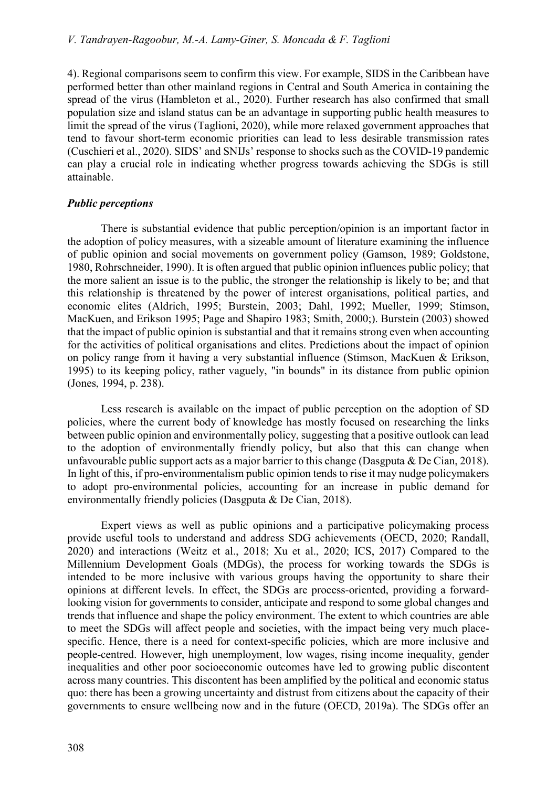4). Regional comparisons seem to confirm this view. For example, SIDS in the Caribbean have performed better than other mainland regions in Central and South America in containing the spread of the virus (Hambleton et al., 2020). Further research has also confirmed that small population size and island status can be an advantage in supporting public health measures to limit the spread of the virus (Taglioni, 2020), while more relaxed government approaches that tend to favour short-term economic priorities can lead to less desirable transmission rates (Cuschieri et al., 2020). SIDS' and SNIJs' response to shocks such as the COVID-19 pandemic can play a crucial role in indicating whether progress towards achieving the SDGs is still attainable.

### Public perceptions

 There is substantial evidence that public perception/opinion is an important factor in the adoption of policy measures, with a sizeable amount of literature examining the influence of public opinion and social movements on government policy (Gamson, 1989; Goldstone, 1980, Rohrschneider, 1990). It is often argued that public opinion influences public policy; that the more salient an issue is to the public, the stronger the relationship is likely to be; and that this relationship is threatened by the power of interest organisations, political parties, and economic elites (Aldrich, 1995; Burstein, 2003; Dahl, 1992; Mueller, 1999; Stimson, MacKuen, and Erikson 1995; Page and Shapiro 1983; Smith, 2000;). Burstein (2003) showed that the impact of public opinion is substantial and that it remains strong even when accounting for the activities of political organisations and elites. Predictions about the impact of opinion on policy range from it having a very substantial influence (Stimson, MacKuen & Erikson, 1995) to its keeping policy, rather vaguely, "in bounds" in its distance from public opinion (Jones, 1994, p. 238).

 Less research is available on the impact of public perception on the adoption of SD policies, where the current body of knowledge has mostly focused on researching the links between public opinion and environmentally policy, suggesting that a positive outlook can lead to the adoption of environmentally friendly policy, but also that this can change when unfavourable public support acts as a major barrier to this change (Dasgputa & De Cian, 2018). In light of this, if pro-environmentalism public opinion tends to rise it may nudge policymakers to adopt pro-environmental policies, accounting for an increase in public demand for environmentally friendly policies (Dasgputa & De Cian, 2018).

 Expert views as well as public opinions and a participative policymaking process provide useful tools to understand and address SDG achievements (OECD, 2020; Randall, 2020) and interactions (Weitz et al., 2018; Xu et al., 2020; ICS, 2017) Compared to the Millennium Development Goals (MDGs), the process for working towards the SDGs is intended to be more inclusive with various groups having the opportunity to share their opinions at different levels. In effect, the SDGs are process-oriented, providing a forwardlooking vision for governments to consider, anticipate and respond to some global changes and trends that influence and shape the policy environment. The extent to which countries are able to meet the SDGs will affect people and societies, with the impact being very much placespecific. Hence, there is a need for context-specific policies, which are more inclusive and people-centred. However, high unemployment, low wages, rising income inequality, gender inequalities and other poor socioeconomic outcomes have led to growing public discontent across many countries. This discontent has been amplified by the political and economic status quo: there has been a growing uncertainty and distrust from citizens about the capacity of their governments to ensure wellbeing now and in the future (OECD, 2019a). The SDGs offer an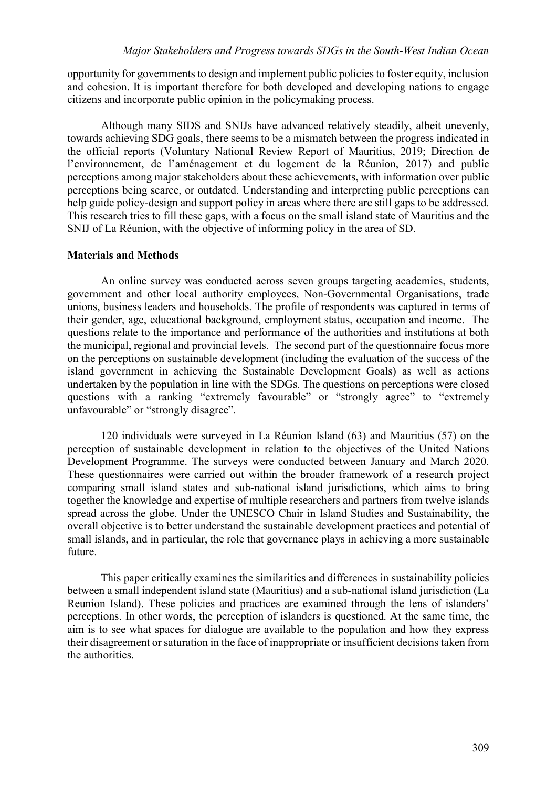opportunity for governments to design and implement public policies to foster equity, inclusion and cohesion. It is important therefore for both developed and developing nations to engage citizens and incorporate public opinion in the policymaking process.

 Although many SIDS and SNIJs have advanced relatively steadily, albeit unevenly, towards achieving SDG goals, there seems to be a mismatch between the progress indicated in the official reports (Voluntary National Review Report of Mauritius, 2019; Direction de l'environnement, de l'aménagement et du logement de la Réunion, 2017) and public perceptions among major stakeholders about these achievements, with information over public perceptions being scarce, or outdated. Understanding and interpreting public perceptions can help guide policy-design and support policy in areas where there are still gaps to be addressed. This research tries to fill these gaps, with a focus on the small island state of Mauritius and the SNIJ of La Réunion, with the objective of informing policy in the area of SD.

## Materials and Methods

 An online survey was conducted across seven groups targeting academics, students, government and other local authority employees, Non-Governmental Organisations, trade unions, business leaders and households. The profile of respondents was captured in terms of their gender, age, educational background, employment status, occupation and income. The questions relate to the importance and performance of the authorities and institutions at both the municipal, regional and provincial levels. The second part of the questionnaire focus more on the perceptions on sustainable development (including the evaluation of the success of the island government in achieving the Sustainable Development Goals) as well as actions undertaken by the population in line with the SDGs. The questions on perceptions were closed questions with a ranking "extremely favourable" or "strongly agree" to "extremely unfavourable" or "strongly disagree".

120 individuals were surveyed in La Réunion Island (63) and Mauritius (57) on the perception of sustainable development in relation to the objectives of the United Nations Development Programme. The surveys were conducted between January and March 2020. These questionnaires were carried out within the broader framework of a research project comparing small island states and sub-national island jurisdictions, which aims to bring together the knowledge and expertise of multiple researchers and partners from twelve islands spread across the globe. Under the UNESCO Chair in Island Studies and Sustainability, the overall objective is to better understand the sustainable development practices and potential of small islands, and in particular, the role that governance plays in achieving a more sustainable future.

 This paper critically examines the similarities and differences in sustainability policies between a small independent island state (Mauritius) and a sub-national island jurisdiction (La Reunion Island). These policies and practices are examined through the lens of islanders' perceptions. In other words, the perception of islanders is questioned. At the same time, the aim is to see what spaces for dialogue are available to the population and how they express their disagreement or saturation in the face of inappropriate or insufficient decisions taken from the authorities.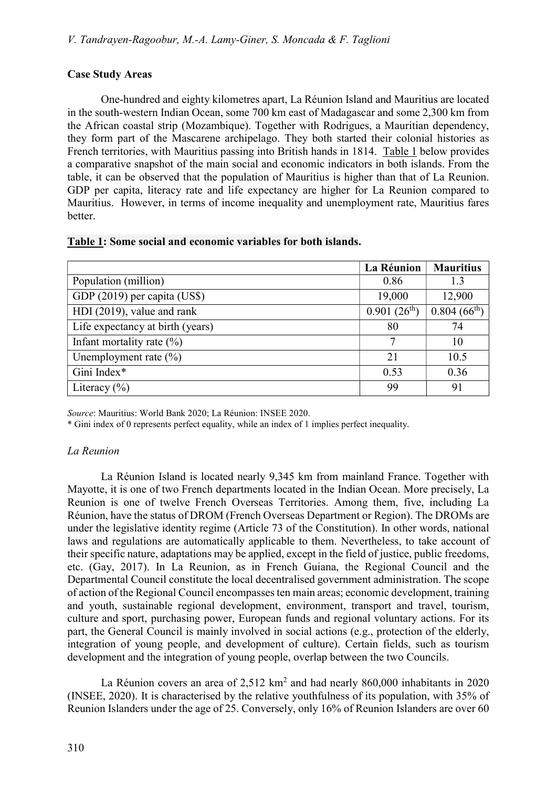## Case Study Areas

 One-hundred and eighty kilometres apart, La Réunion Island and Mauritius are located in the south-western Indian Ocean, some 700 km east of Madagascar and some 2,300 km from the African coastal strip (Mozambique). Together with Rodrigues, a Mauritian dependency, they form part of the Mascarene archipelago. They both started their colonial histories as French territories, with Mauritius passing into British hands in 1814. Table 1 below provides a comparative snapshot of the main social and economic indicators in both islands. From the table, it can be observed that the population of Mauritius is higher than that of La Reunion. GDP per capita, literacy rate and life expectancy are higher for La Reunion compared to Mauritius. However, in terms of income inequality and unemployment rate, Mauritius fares better.

|  |  |  | Table 1: Some social and economic variables for both islands. |  |  |
|--|--|--|---------------------------------------------------------------|--|--|
|  |  |  |                                                               |  |  |

|                                  | La Réunion       | <b>Mauritius</b>             |
|----------------------------------|------------------|------------------------------|
| Population (million)             | 0.86             | 1.3                          |
| GDP (2019) per capita (US\$)     | 19,000           | 12,900                       |
| HDI (2019), value and rank       | $0.901(26^{th})$ | $0.804~(6\overline{6^{th}})$ |
| Life expectancy at birth (years) | 80               | 74                           |
| Infant mortality rate $(\%)$     | 7                | 10                           |
| Unemployment rate $(\% )$        | 21               | 10.5                         |
| Gini Index*                      | 0.53             | 0.36                         |
| Literacy $(\% )$                 | 99               | 91                           |

Source: Mauritius: World Bank 2020; La Réunion: INSEE 2020.

\* Gini index of 0 represents perfect equality, while an index of 1 implies perfect inequality.

## La Reunion

 La Réunion Island is located nearly 9,345 km from mainland France. Together with Mayotte, it is one of two French departments located in the Indian Ocean. More precisely, La Reunion is one of twelve French Overseas Territories. Among them, five, including La Réunion, have the status of DROM (French Overseas Department or Region). The DROMs are under the legislative identity regime (Article 73 of the Constitution). In other words, national laws and regulations are automatically applicable to them. Nevertheless, to take account of their specific nature, adaptations may be applied, except in the field of justice, public freedoms, etc. (Gay, 2017). In La Reunion, as in French Guiana, the Regional Council and the Departmental Council constitute the local decentralised government administration. The scope of action of the Regional Council encompasses ten main areas; economic development, training and youth, sustainable regional development, environment, transport and travel, tourism, culture and sport, purchasing power, European funds and regional voluntary actions. For its part, the General Council is mainly involved in social actions (e.g., protection of the elderly, integration of young people, and development of culture). Certain fields, such as tourism development and the integration of young people, overlap between the two Councils.

La Réunion covers an area of  $2,512 \text{ km}^2$  and had nearly 860,000 inhabitants in 2020 (INSEE, 2020). It is characterised by the relative youthfulness of its population, with 35% of Reunion Islanders under the age of 25. Conversely, only 16% of Reunion Islanders are over 60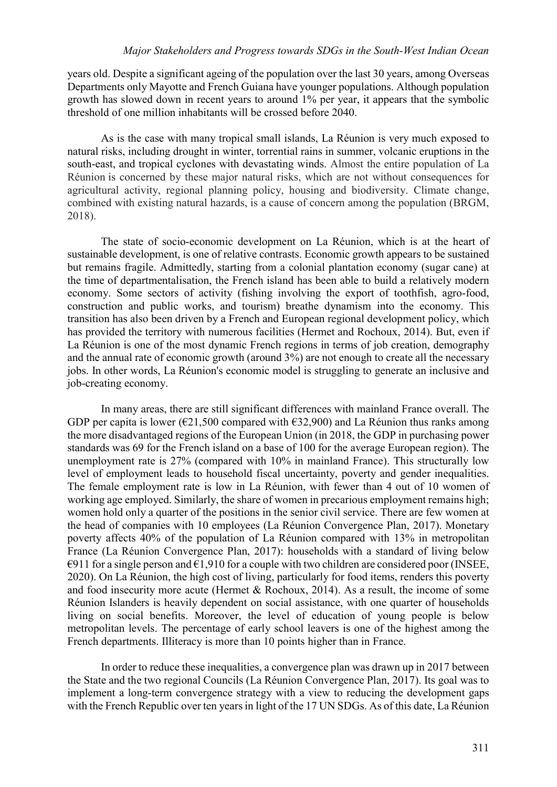#### Major Stakeholders and Progress towards SDGs in the South-West Indian Ocean

years old. Despite a significant ageing of the population over the last 30 years, among Overseas Departments only Mayotte and French Guiana have younger populations. Although population growth has slowed down in recent years to around 1% per year, it appears that the symbolic threshold of one million inhabitants will be crossed before 2040.

 As is the case with many tropical small islands, La Réunion is very much exposed to natural risks, including drought in winter, torrential rains in summer, volcanic eruptions in the south-east, and tropical cyclones with devastating winds. Almost the entire population of La Réunion is concerned by these major natural risks, which are not without consequences for agricultural activity, regional planning policy, housing and biodiversity. Climate change, combined with existing natural hazards, is a cause of concern among the population (BRGM, 2018).

 The state of socio-economic development on La Réunion, which is at the heart of sustainable development, is one of relative contrasts. Economic growth appears to be sustained but remains fragile. Admittedly, starting from a colonial plantation economy (sugar cane) at the time of departmentalisation, the French island has been able to build a relatively modern economy. Some sectors of activity (fishing involving the export of toothfish, agro-food, construction and public works, and tourism) breathe dynamism into the economy. This transition has also been driven by a French and European regional development policy, which has provided the territory with numerous facilities (Hermet and Rochoux, 2014). But, even if La Réunion is one of the most dynamic French regions in terms of job creation, demography and the annual rate of economic growth (around 3%) are not enough to create all the necessary jobs. In other words, La Réunion's economic model is struggling to generate an inclusive and job-creating economy.

 In many areas, there are still significant differences with mainland France overall. The GDP per capita is lower ( $\epsilon$ 21,500 compared with  $\epsilon$ 32,900) and La Réunion thus ranks among the more disadvantaged regions of the European Union (in 2018, the GDP in purchasing power standards was 69 for the French island on a base of 100 for the average European region). The unemployment rate is 27% (compared with 10% in mainland France). This structurally low level of employment leads to household fiscal uncertainty, poverty and gender inequalities. The female employment rate is low in La Réunion, with fewer than 4 out of 10 women of working age employed. Similarly, the share of women in precarious employment remains high; women hold only a quarter of the positions in the senior civil service. There are few women at the head of companies with 10 employees (La Réunion Convergence Plan, 2017). Monetary poverty affects 40% of the population of La Réunion compared with 13% in metropolitan France (La Réunion Convergence Plan, 2017): households with a standard of living below  $\epsilon$ 911 for a single person and  $\epsilon$ 1,910 for a couple with two children are considered poor (INSEE, 2020). On La Réunion, the high cost of living, particularly for food items, renders this poverty and food insecurity more acute (Hermet & Rochoux, 2014). As a result, the income of some Réunion Islanders is heavily dependent on social assistance, with one quarter of households living on social benefits. Moreover, the level of education of young people is below metropolitan levels. The percentage of early school leavers is one of the highest among the French departments. Illiteracy is more than 10 points higher than in France.

 In order to reduce these inequalities, a convergence plan was drawn up in 2017 between the State and the two regional Councils (La Réunion Convergence Plan, 2017). Its goal was to implement a long-term convergence strategy with a view to reducing the development gaps with the French Republic over ten years in light of the 17 UN SDGs. As of this date, La Réunion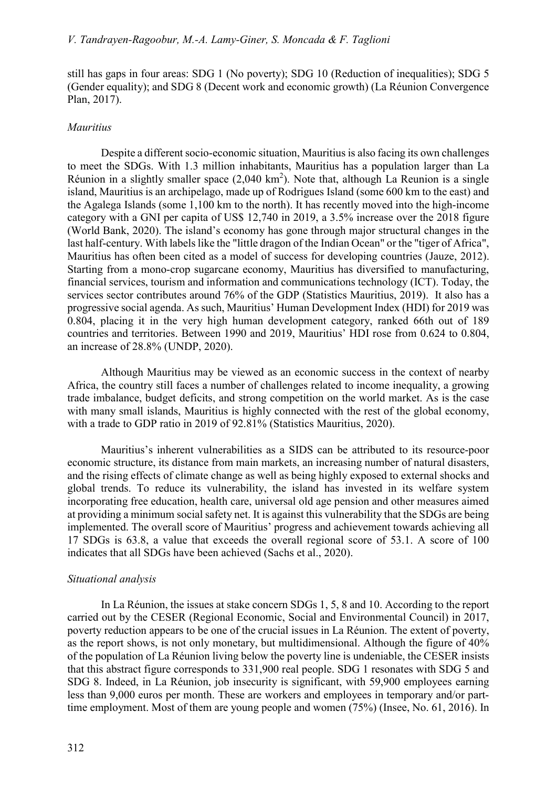still has gaps in four areas: SDG 1 (No poverty); SDG 10 (Reduction of inequalities); SDG 5 (Gender equality); and SDG 8 (Decent work and economic growth) (La Réunion Convergence Plan, 2017).

### Mauritius

 Despite a different socio-economic situation, Mauritius is also facing its own challenges to meet the SDGs. With 1.3 million inhabitants, Mauritius has a population larger than La Réunion in a slightly smaller space  $(2,040 \text{ km}^2)$ . Note that, although La Reunion is a single island, Mauritius is an archipelago, made up of Rodrigues Island (some 600 km to the east) and the Agalega Islands (some 1,100 km to the north). It has recently moved into the high-income category with a GNI per capita of US\$ 12,740 in 2019, a 3.5% increase over the 2018 figure (World Bank, 2020). The island's economy has gone through major structural changes in the last half-century. With labels like the "little dragon of the Indian Ocean" or the "tiger of Africa", Mauritius has often been cited as a model of success for developing countries (Jauze, 2012). Starting from a mono-crop sugarcane economy, Mauritius has diversified to manufacturing, financial services, tourism and information and communications technology (ICT). Today, the services sector contributes around 76% of the GDP (Statistics Mauritius, 2019). It also has a progressive social agenda. As such, Mauritius' Human Development Index (HDI) for 2019 was 0.804, placing it in the very high human development category, ranked 66th out of 189 countries and territories. Between 1990 and 2019, Mauritius' HDI rose from 0.624 to 0.804, an increase of 28.8% (UNDP, 2020).

 Although Mauritius may be viewed as an economic success in the context of nearby Africa, the country still faces a number of challenges related to income inequality, a growing trade imbalance, budget deficits, and strong competition on the world market. As is the case with many small islands, Mauritius is highly connected with the rest of the global economy, with a trade to GDP ratio in 2019 of 92.81% (Statistics Mauritius, 2020).

 Mauritius's inherent vulnerabilities as a SIDS can be attributed to its resource-poor economic structure, its distance from main markets, an increasing number of natural disasters, and the rising effects of climate change as well as being highly exposed to external shocks and global trends. To reduce its vulnerability, the island has invested in its welfare system incorporating free education, health care, universal old age pension and other measures aimed at providing a minimum social safety net. It is against this vulnerability that the SDGs are being implemented. The overall score of Mauritius' progress and achievement towards achieving all 17 SDGs is 63.8, a value that exceeds the overall regional score of 53.1. A score of 100 indicates that all SDGs have been achieved (Sachs et al., 2020).

#### Situational analysis

 In La Réunion, the issues at stake concern SDGs 1, 5, 8 and 10. According to the report carried out by the CESER (Regional Economic, Social and Environmental Council) in 2017, poverty reduction appears to be one of the crucial issues in La Réunion. The extent of poverty, as the report shows, is not only monetary, but multidimensional. Although the figure of 40% of the population of La Réunion living below the poverty line is undeniable, the CESER insists that this abstract figure corresponds to 331,900 real people. SDG 1 resonates with SDG 5 and SDG 8. Indeed, in La Réunion, job insecurity is significant, with 59,900 employees earning less than 9,000 euros per month. These are workers and employees in temporary and/or parttime employment. Most of them are young people and women (75%) (Insee, No. 61, 2016). In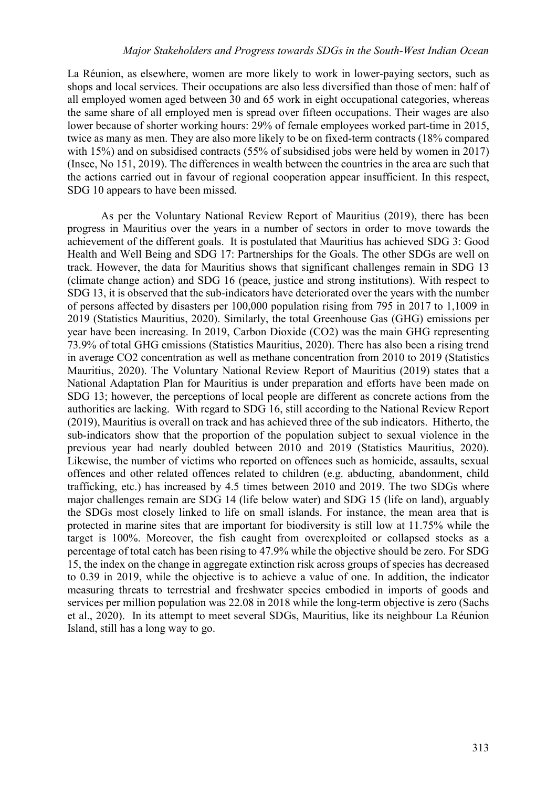La Réunion, as elsewhere, women are more likely to work in lower-paying sectors, such as shops and local services. Their occupations are also less diversified than those of men: half of all employed women aged between 30 and 65 work in eight occupational categories, whereas the same share of all employed men is spread over fifteen occupations. Their wages are also lower because of shorter working hours: 29% of female employees worked part-time in 2015, twice as many as men. They are also more likely to be on fixed-term contracts (18% compared with 15%) and on subsidised contracts (55% of subsidised jobs were held by women in 2017) (Insee, No 151, 2019). The differences in wealth between the countries in the area are such that the actions carried out in favour of regional cooperation appear insufficient. In this respect, SDG 10 appears to have been missed.

 As per the Voluntary National Review Report of Mauritius (2019), there has been progress in Mauritius over the years in a number of sectors in order to move towards the achievement of the different goals. It is postulated that Mauritius has achieved SDG 3: Good Health and Well Being and SDG 17: Partnerships for the Goals. The other SDGs are well on track. However, the data for Mauritius shows that significant challenges remain in SDG 13 (climate change action) and SDG 16 (peace, justice and strong institutions). With respect to SDG 13, it is observed that the sub-indicators have deteriorated over the years with the number of persons affected by disasters per 100,000 population rising from 795 in 2017 to 1,1009 in 2019 (Statistics Mauritius, 2020). Similarly, the total Greenhouse Gas (GHG) emissions per year have been increasing. In 2019, Carbon Dioxide (CO2) was the main GHG representing 73.9% of total GHG emissions (Statistics Mauritius, 2020). There has also been a rising trend in average CO2 concentration as well as methane concentration from 2010 to 2019 (Statistics Mauritius, 2020). The Voluntary National Review Report of Mauritius (2019) states that a National Adaptation Plan for Mauritius is under preparation and efforts have been made on SDG 13; however, the perceptions of local people are different as concrete actions from the authorities are lacking. With regard to SDG 16, still according to the National Review Report (2019), Mauritius is overall on track and has achieved three of the sub indicators. Hitherto, the sub-indicators show that the proportion of the population subject to sexual violence in the previous year had nearly doubled between 2010 and 2019 (Statistics Mauritius, 2020). Likewise, the number of victims who reported on offences such as homicide, assaults, sexual offences and other related offences related to children (e.g. abducting, abandonment, child trafficking, etc.) has increased by 4.5 times between 2010 and 2019. The two SDGs where major challenges remain are SDG 14 (life below water) and SDG 15 (life on land), arguably the SDGs most closely linked to life on small islands. For instance, the mean area that is protected in marine sites that are important for biodiversity is still low at 11.75% while the target is 100%. Moreover, the fish caught from overexploited or collapsed stocks as a percentage of total catch has been rising to 47.9% while the objective should be zero. For SDG 15, the index on the change in aggregate extinction risk across groups of species has decreased to 0.39 in 2019, while the objective is to achieve a value of one. In addition, the indicator measuring threats to terrestrial and freshwater species embodied in imports of goods and services per million population was 22.08 in 2018 while the long-term objective is zero (Sachs et al., 2020). In its attempt to meet several SDGs, Mauritius, like its neighbour La Réunion Island, still has a long way to go.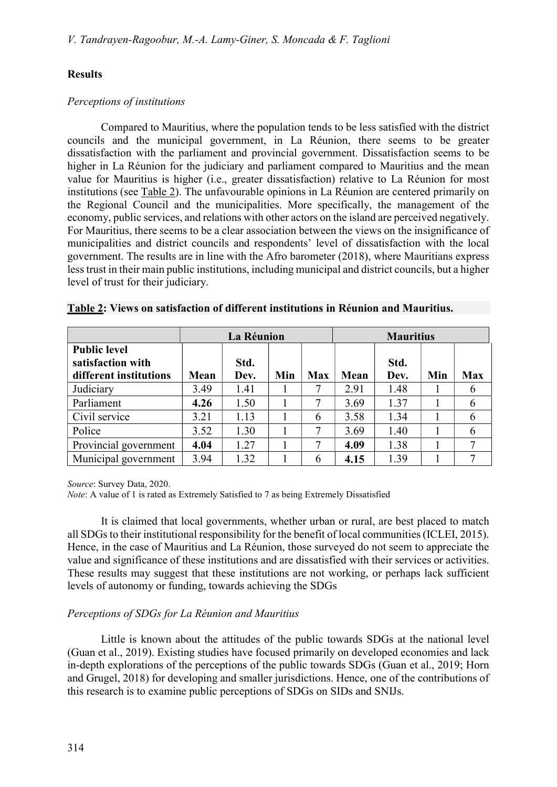# **Results**

## Perceptions of institutions

 Compared to Mauritius, where the population tends to be less satisfied with the district councils and the municipal government, in La Réunion, there seems to be greater dissatisfaction with the parliament and provincial government. Dissatisfaction seems to be higher in La Réunion for the judiciary and parliament compared to Mauritius and the mean value for Mauritius is higher (i.e., greater dissatisfaction) relative to La Réunion for most institutions (see Table 2). The unfavourable opinions in La Réunion are centered primarily on the Regional Council and the municipalities. More specifically, the management of the economy, public services, and relations with other actors on the island are perceived negatively. For Mauritius, there seems to be a clear association between the views on the insignificance of municipalities and district councils and respondents' level of dissatisfaction with the local government. The results are in line with the Afro barometer (2018), where Mauritians express less trust in their main public institutions, including municipal and district councils, but a higher level of trust for their judiciary.

|                                                                    |      | La Réunion   |     |            | <b>Mauritius</b> |              |     |            |
|--------------------------------------------------------------------|------|--------------|-----|------------|------------------|--------------|-----|------------|
| <b>Public level</b><br>satisfaction with<br>different institutions | Mean | Std.<br>Dev. | Min | <b>Max</b> | Mean             | Std.<br>Dev. | Min | <b>Max</b> |
| Judiciary                                                          | 3.49 | 1.41         |     | 7          | 2.91             | 1.48         |     | 6          |
| Parliament                                                         | 4.26 | 1.50         |     | 7          | 3.69             | 1.37         |     | 6          |
| Civil service                                                      | 3.21 | 1.13         |     | 6          | 3.58             | 1.34         |     | 6          |
| Police                                                             | 3.52 | 1.30         |     | 7          | 3.69             | 1.40         |     | 6          |
| Provincial government                                              | 4.04 | 1.27         |     | 7          | 4.09             | 1.38         |     |            |
| Municipal government                                               | 3.94 | 1.32         |     | 6          | 4.15             | 1.39         |     | 7          |

|  |  | Table 2: Views on satisfaction of different institutions in Réunion and Mauritius. |  |  |  |  |
|--|--|------------------------------------------------------------------------------------|--|--|--|--|
|--|--|------------------------------------------------------------------------------------|--|--|--|--|

Source: Survey Data, 2020.

Note: A value of 1 is rated as Extremely Satisfied to 7 as being Extremely Dissatisfied

 It is claimed that local governments, whether urban or rural, are best placed to match all SDGs to their institutional responsibility for the benefit of local communities (ICLEI, 2015). Hence, in the case of Mauritius and La Réunion, those surveyed do not seem to appreciate the value and significance of these institutions and are dissatisfied with their services or activities. These results may suggest that these institutions are not working, or perhaps lack sufficient levels of autonomy or funding, towards achieving the SDGs

# Perceptions of SDGs for La Réunion and Mauritius

 Little is known about the attitudes of the public towards SDGs at the national level (Guan et al., 2019). Existing studies have focused primarily on developed economies and lack in-depth explorations of the perceptions of the public towards SDGs (Guan et al., 2019; Horn and Grugel, 2018) for developing and smaller jurisdictions. Hence, one of the contributions of this research is to examine public perceptions of SDGs on SIDs and SNIJs.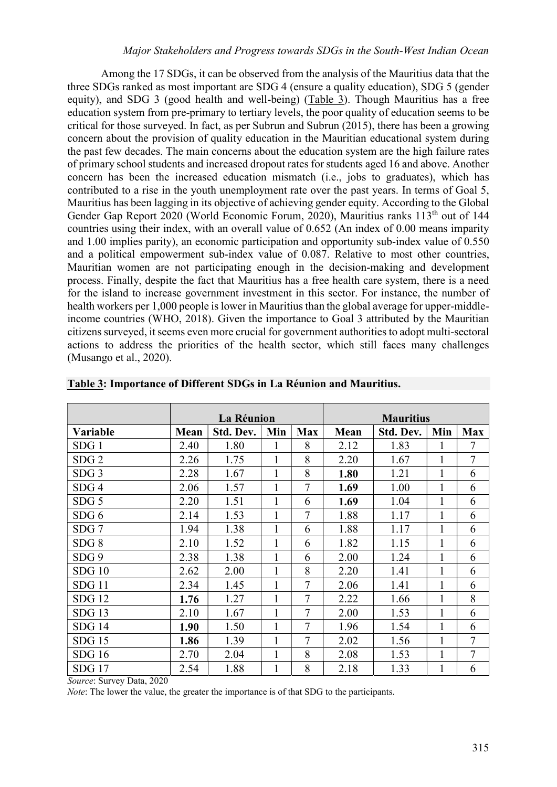Among the 17 SDGs, it can be observed from the analysis of the Mauritius data that the three SDGs ranked as most important are SDG 4 (ensure a quality education), SDG 5 (gender equity), and SDG 3 (good health and well-being) (Table 3). Though Mauritius has a free education system from pre-primary to tertiary levels, the poor quality of education seems to be critical for those surveyed. In fact, as per Subrun and Subrun (2015), there has been a growing concern about the provision of quality education in the Mauritian educational system during the past few decades. The main concerns about the education system are the high failure rates of primary school students and increased dropout rates for students aged 16 and above. Another concern has been the increased education mismatch (i.e., jobs to graduates), which has contributed to a rise in the youth unemployment rate over the past years. In terms of Goal 5, Mauritius has been lagging in its objective of achieving gender equity. According to the Global Gender Gap Report 2020 (World Economic Forum, 2020), Mauritius ranks 113<sup>th</sup> out of 144 countries using their index, with an overall value of 0.652 (An index of 0.00 means imparity and 1.00 implies parity), an economic participation and opportunity sub-index value of 0.550 and a political empowerment sub-index value of 0.087. Relative to most other countries, Mauritian women are not participating enough in the decision-making and development process. Finally, despite the fact that Mauritius has a free health care system, there is a need for the island to increase government investment in this sector. For instance, the number of health workers per 1,000 people is lower in Mauritius than the global average for upper-middleincome countries (WHO, 2018). Given the importance to Goal 3 attributed by the Mauritian citizens surveyed, it seems even more crucial for government authorities to adopt multi-sectoral actions to address the priorities of the health sector, which still faces many challenges (Musango et al., 2020).

|                  |      | La Réunion |              |                |             | <b>Mauritius</b> |              |                |
|------------------|------|------------|--------------|----------------|-------------|------------------|--------------|----------------|
| Variable         | Mean | Std. Dev.  | Min          | <b>Max</b>     | <b>Mean</b> | Std. Dev.        | Min          | <b>Max</b>     |
| SDG1             | 2.40 | 1.80       | 1            | 8              | 2.12        | 1.83             | 1            | $\tau$         |
| SDG <sub>2</sub> | 2.26 | 1.75       | 1            | 8              | 2.20        | 1.67             | 1            | $\overline{7}$ |
| SDG <sub>3</sub> | 2.28 | 1.67       | $\mathbf{1}$ | 8              | 1.80        | 1.21             | 1            | 6              |
| SDG <sub>4</sub> | 2.06 | 1.57       | $\mathbf{1}$ | $\overline{7}$ | 1.69        | 1.00             | $\mathbf{1}$ | 6              |
| SDG <sub>5</sub> | 2.20 | 1.51       | 1            | 6              | 1.69        | 1.04             | 1            | 6              |
| SDG <sub>6</sub> | 2.14 | 1.53       |              | $\overline{7}$ | 1.88        | 1.17             | 1            | 6              |
| SDG <sub>7</sub> | 1.94 | 1.38       | $\mathbf{1}$ | 6              | 1.88        | 1.17             | $\mathbf{1}$ | 6              |
| SDG 8            | 2.10 | 1.52       | 1            | 6              | 1.82        | 1.15             | 1            | 6              |
| SDG <sub>9</sub> | 2.38 | 1.38       | 1            | 6              | 2.00        | 1.24             | $\mathbf{1}$ | 6              |
| SDG10            | 2.62 | 2.00       | $\mathbf{1}$ | 8              | 2.20        | 1.41             | 1            | 6              |
| SDG11            | 2.34 | 1.45       | 1            | 7              | 2.06        | 1.41             | 1            | 6              |
| <b>SDG 12</b>    | 1.76 | 1.27       | 1            | $\overline{7}$ | 2.22        | 1.66             | 1            | 8              |
| <b>SDG 13</b>    | 2.10 | 1.67       | $\mathbf{1}$ | $\overline{7}$ | 2.00        | 1.53             | 1            | 6              |
| <b>SDG 14</b>    | 1.90 | 1.50       | $\mathbf{1}$ | 7              | 1.96        | 1.54             | 1            | 6              |
| $SDG$ 15         | 1.86 | 1.39       | $\mathbf{1}$ | 7              | 2.02        | 1.56             | 1            | $\overline{7}$ |
| <b>SDG</b> 16    | 2.70 | 2.04       |              | 8              | 2.08        | 1.53             | $\mathbf{1}$ | $\overline{7}$ |
| <b>SDG17</b>     | 2.54 | 1.88       | 1            | 8              | 2.18        | 1.33             | 1            | 6              |

|  |  | Table 3: Importance of Different SDGs in La Réunion and Mauritius. |
|--|--|--------------------------------------------------------------------|
|--|--|--------------------------------------------------------------------|

Source: Survey Data, 2020

Note: The lower the value, the greater the importance is of that SDG to the participants.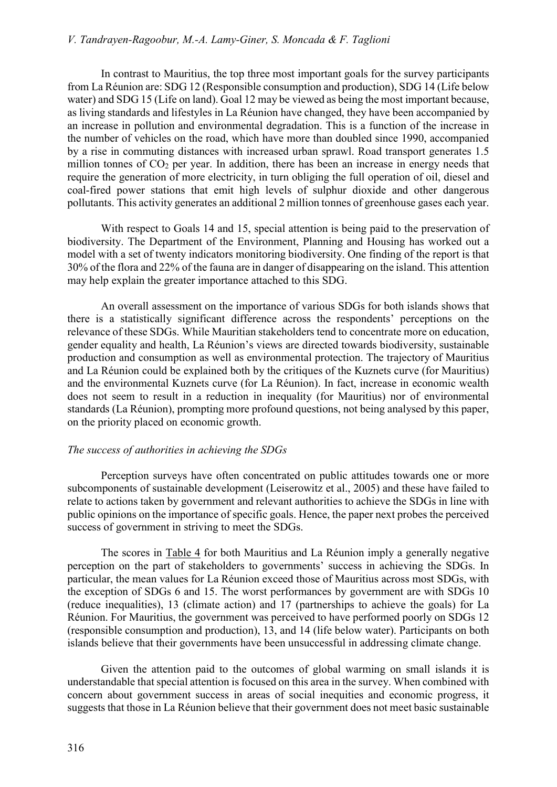In contrast to Mauritius, the top three most important goals for the survey participants from La Réunion are: SDG 12 (Responsible consumption and production), SDG 14 (Life below water) and SDG 15 (Life on land). Goal 12 may be viewed as being the most important because, as living standards and lifestyles in La Réunion have changed, they have been accompanied by an increase in pollution and environmental degradation. This is a function of the increase in the number of vehicles on the road, which have more than doubled since 1990, accompanied by a rise in commuting distances with increased urban sprawl. Road transport generates 1.5 million tonnes of CO<sub>2</sub> per year. In addition, there has been an increase in energy needs that require the generation of more electricity, in turn obliging the full operation of oil, diesel and coal-fired power stations that emit high levels of sulphur dioxide and other dangerous pollutants. This activity generates an additional 2 million tonnes of greenhouse gases each year.

 With respect to Goals 14 and 15, special attention is being paid to the preservation of biodiversity. The Department of the Environment, Planning and Housing has worked out a model with a set of twenty indicators monitoring biodiversity. One finding of the report is that 30% of the flora and 22% of the fauna are in danger of disappearing on the island. This attention may help explain the greater importance attached to this SDG.

 An overall assessment on the importance of various SDGs for both islands shows that there is a statistically significant difference across the respondents' perceptions on the relevance of these SDGs. While Mauritian stakeholders tend to concentrate more on education, gender equality and health, La Réunion's views are directed towards biodiversity, sustainable production and consumption as well as environmental protection. The trajectory of Mauritius and La Réunion could be explained both by the critiques of the Kuznets curve (for Mauritius) and the environmental Kuznets curve (for La Réunion). In fact, increase in economic wealth does not seem to result in a reduction in inequality (for Mauritius) nor of environmental standards (La Réunion), prompting more profound questions, not being analysed by this paper, on the priority placed on economic growth.

## The success of authorities in achieving the SDGs

 Perception surveys have often concentrated on public attitudes towards one or more subcomponents of sustainable development (Leiserowitz et al., 2005) and these have failed to relate to actions taken by government and relevant authorities to achieve the SDGs in line with public opinions on the importance of specific goals. Hence, the paper next probes the perceived success of government in striving to meet the SDGs.

 The scores in Table 4 for both Mauritius and La Réunion imply a generally negative perception on the part of stakeholders to governments' success in achieving the SDGs. In particular, the mean values for La Réunion exceed those of Mauritius across most SDGs, with the exception of SDGs 6 and 15. The worst performances by government are with SDGs 10 (reduce inequalities), 13 (climate action) and 17 (partnerships to achieve the goals) for La Réunion. For Mauritius, the government was perceived to have performed poorly on SDGs 12 (responsible consumption and production), 13, and 14 (life below water). Participants on both islands believe that their governments have been unsuccessful in addressing climate change.

 Given the attention paid to the outcomes of global warming on small islands it is understandable that special attention is focused on this area in the survey. When combined with concern about government success in areas of social inequities and economic progress, it suggests that those in La Réunion believe that their government does not meet basic sustainable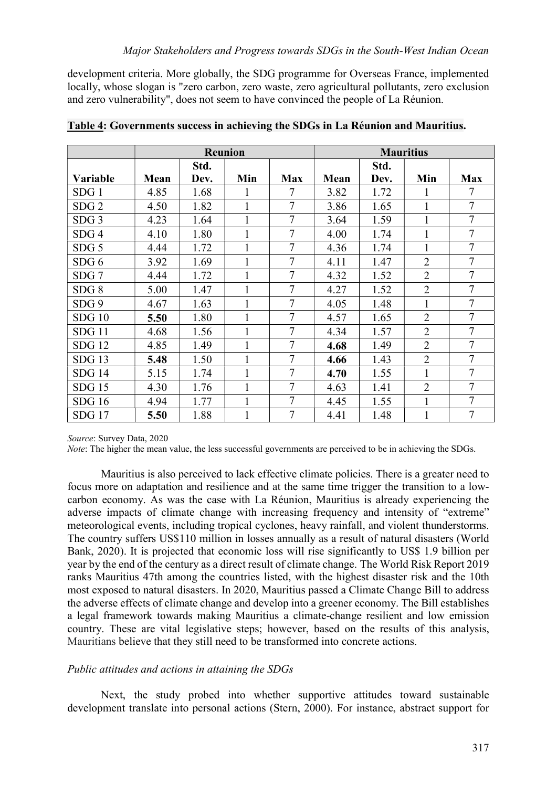development criteria. More globally, the SDG programme for Overseas France, implemented locally, whose slogan is "zero carbon, zero waste, zero agricultural pollutants, zero exclusion and zero vulnerability", does not seem to have convinced the people of La Réunion.

|                   |      |      | <b>Reunion</b> |                |             |      | <b>Mauritius</b> |                |
|-------------------|------|------|----------------|----------------|-------------|------|------------------|----------------|
|                   |      | Std. |                |                |             | Std. |                  |                |
| <b>Variable</b>   | Mean | Dev. | Min            | <b>Max</b>     | <b>Mean</b> | Dev. | Min              | <b>Max</b>     |
| SDG <sub>1</sub>  | 4.85 | 1.68 |                | 7              | 3.82        | 1.72 |                  |                |
| SDG <sub>2</sub>  | 4.50 | 1.82 |                | 7              | 3.86        | 1.65 |                  | $\tau$         |
| SDG <sub>3</sub>  | 4.23 | 1.64 | $\mathbf{1}$   | 7              | 3.64        | 1.59 | 1                | 7              |
| SDG <sub>4</sub>  | 4.10 | 1.80 | 1              | 7              | 4.00        | 1.74 | 1                | 7              |
| SDG <sub>5</sub>  | 4.44 | 1.72 |                | 7              | 4.36        | 1.74 | 1                | 7              |
| SDG <sub>6</sub>  | 3.92 | 1.69 |                | 7              | 4.11        | 1.47 | $\overline{2}$   | 7              |
| SDG7              | 4.44 | 1.72 |                | 7              | 4.32        | 1.52 | $\overline{2}$   | 7              |
| SDG <sub>8</sub>  | 5.00 | 1.47 | 1              | $\overline{7}$ | 4.27        | 1.52 | $\overline{2}$   | $\overline{7}$ |
| SDG 9             | 4.67 | 1.63 | 1              | $\overline{7}$ | 4.05        | 1.48 | 1                | $\tau$         |
| <b>SDG 10</b>     | 5.50 | 1.80 |                | 7              | 4.57        | 1.65 | $\overline{2}$   | $\overline{7}$ |
| SDG11             | 4.68 | 1.56 | 1              | 7              | 4.34        | 1.57 | $\overline{2}$   | 7              |
| <b>SDG 12</b>     | 4.85 | 1.49 | 1              | $\overline{7}$ | 4.68        | 1.49 | $\overline{2}$   | $\overline{7}$ |
| $SDG$ 13          | 5.48 | 1.50 | 1              | 7              | 4.66        | 1.43 | $\overline{2}$   | $\tau$         |
| <b>SDG 14</b>     | 5.15 | 1.74 |                | 7              | 4.70        | 1.55 | 1                | $\overline{7}$ |
| $SDG$ 15          | 4.30 | 1.76 |                | 7              | 4.63        | 1.41 | $\overline{2}$   | 7              |
| <b>SDG</b> 16     | 4.94 | 1.77 | 1              | 7              | 4.45        | 1.55 | 1                | 7              |
| SDG <sub>17</sub> | 5.50 | 1.88 | 1              | $\overline{7}$ | 4.41        | 1.48 | 1                | $\tau$         |

Table 4: Governments success in achieving the SDGs in La Réunion and Mauritius.

Source: Survey Data, 2020

Note: The higher the mean value, the less successful governments are perceived to be in achieving the SDGs.

 Mauritius is also perceived to lack effective climate policies. There is a greater need to focus more on adaptation and resilience and at the same time trigger the transition to a lowcarbon economy. As was the case with La Réunion, Mauritius is already experiencing the adverse impacts of climate change with increasing frequency and intensity of "extreme" meteorological events, including tropical cyclones, heavy rainfall, and violent thunderstorms. The country suffers US\$110 million in losses annually as a result of natural disasters (World Bank, 2020). It is projected that economic loss will rise significantly to US\$ 1.9 billion per year by the end of the century as a direct result of climate change. The World Risk Report 2019 ranks Mauritius 47th among the countries listed, with the highest disaster risk and the 10th most exposed to natural disasters. In 2020, Mauritius passed a Climate Change Bill to address the adverse effects of climate change and develop into a greener economy. The Bill establishes a legal framework towards making Mauritius a climate-change resilient and low emission country. These are vital legislative steps; however, based on the results of this analysis, Mauritians believe that they still need to be transformed into concrete actions.

### Public attitudes and actions in attaining the SDGs

 Next, the study probed into whether supportive attitudes toward sustainable development translate into personal actions (Stern, 2000). For instance, abstract support for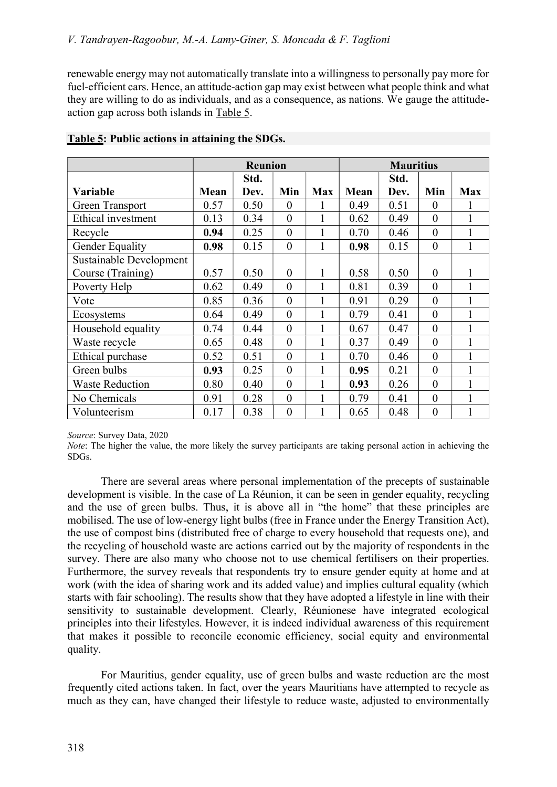renewable energy may not automatically translate into a willingness to personally pay more for fuel-efficient cars. Hence, an attitude-action gap may exist between what people think and what they are willing to do as individuals, and as a consequence, as nations. We gauge the attitudeaction gap across both islands in Table 5.

|                           |      | <b>Reunion</b> |                |              |      | <b>Mauritius</b> |                |                |
|---------------------------|------|----------------|----------------|--------------|------|------------------|----------------|----------------|
|                           |      | Std.           |                |              |      | Std.             |                |                |
| <b>Variable</b>           | Mean | Dev.           | Min            | <b>Max</b>   | Mean | Dev.             | Min            | <b>Max</b>     |
| <b>Green Transport</b>    | 0.57 | 0.50           | $\theta$       | 1            | 0.49 | 0.51             | $\overline{0}$ |                |
| <b>Ethical investment</b> | 0.13 | 0.34           | $\overline{0}$ | 1            | 0.62 | 0.49             | $\overline{0}$ | 1              |
| Recycle                   | 0.94 | 0.25           | $\overline{0}$ | 1            | 0.70 | 0.46             | $\overline{0}$ | 1              |
| Gender Equality           | 0.98 | 0.15           | $\overline{0}$ | $\mathbf{1}$ | 0.98 | 0.15             | $\overline{0}$ | $\mathbf{1}$   |
| Sustainable Development   |      |                |                |              |      |                  |                |                |
| Course (Training)         | 0.57 | 0.50           | $\theta$       | 1            | 0.58 | 0.50             | $\theta$       | 1              |
| Poverty Help              | 0.62 | 0.49           | $\overline{0}$ |              | 0.81 | 0.39             | $\theta$       | 1              |
| Vote                      | 0.85 | 0.36           | $\overline{0}$ |              | 0.91 | 0.29             | $\theta$       | 1              |
| Ecosystems                | 0.64 | 0.49           | $\theta$       | 1            | 0.79 | 0.41             | $\theta$       | 1              |
| Household equality        | 0.74 | 0.44           | $\theta$       | 1            | 0.67 | 0.47             | $\theta$       | 1              |
| Waste recycle             | 0.65 | 0.48           | $\theta$       | 1            | 0.37 | 0.49             | $\theta$       | 1              |
| Ethical purchase          | 0.52 | 0.51           | $\theta$       | 1            | 0.70 | 0.46             | $\theta$       | 1              |
| Green bulbs               | 0.93 | 0.25           | $\theta$       | 1            | 0.95 | 0.21             | $\theta$       | 1              |
| <b>Waste Reduction</b>    | 0.80 | 0.40           | $\theta$       | 1            | 0.93 | 0.26             | $\theta$       | 1              |
| No Chemicals              | 0.91 | 0.28           | $\theta$       | 1            | 0.79 | 0.41             | $\theta$       | 1              |
| Volunteerism              | 0.17 | 0.38           | $\overline{0}$ |              | 0.65 | 0.48             | $\overline{0}$ | $\overline{1}$ |

## Table 5: Public actions in attaining the SDGs.

Source: Survey Data, 2020

Note: The higher the value, the more likely the survey participants are taking personal action in achieving the SDGs.

 There are several areas where personal implementation of the precepts of sustainable development is visible. In the case of La Réunion, it can be seen in gender equality, recycling and the use of green bulbs. Thus, it is above all in "the home" that these principles are mobilised. The use of low-energy light bulbs (free in France under the Energy Transition Act), the use of compost bins (distributed free of charge to every household that requests one), and the recycling of household waste are actions carried out by the majority of respondents in the survey. There are also many who choose not to use chemical fertilisers on their properties. Furthermore, the survey reveals that respondents try to ensure gender equity at home and at work (with the idea of sharing work and its added value) and implies cultural equality (which starts with fair schooling). The results show that they have adopted a lifestyle in line with their sensitivity to sustainable development. Clearly, Réunionese have integrated ecological principles into their lifestyles. However, it is indeed individual awareness of this requirement that makes it possible to reconcile economic efficiency, social equity and environmental quality.

 For Mauritius, gender equality, use of green bulbs and waste reduction are the most frequently cited actions taken. In fact, over the years Mauritians have attempted to recycle as much as they can, have changed their lifestyle to reduce waste, adjusted to environmentally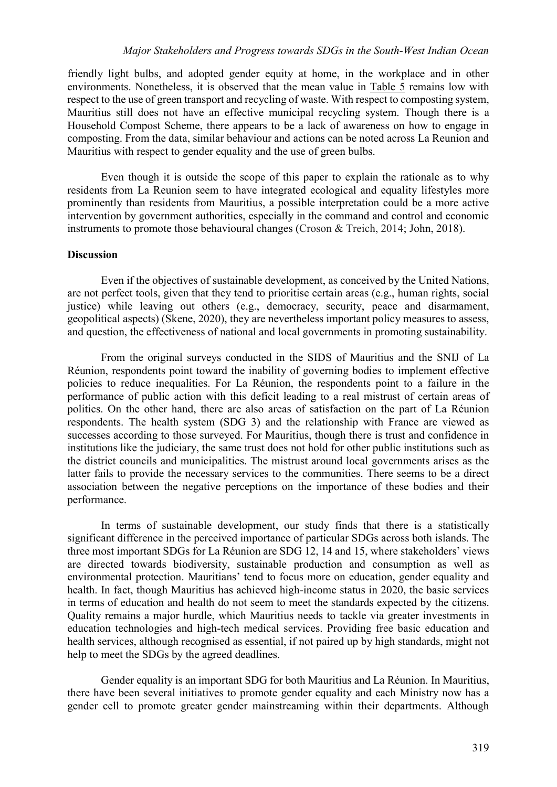friendly light bulbs, and adopted gender equity at home, in the workplace and in other environments. Nonetheless, it is observed that the mean value in Table 5 remains low with respect to the use of green transport and recycling of waste. With respect to composting system, Mauritius still does not have an effective municipal recycling system. Though there is a Household Compost Scheme, there appears to be a lack of awareness on how to engage in composting. From the data, similar behaviour and actions can be noted across La Reunion and Mauritius with respect to gender equality and the use of green bulbs.

 Even though it is outside the scope of this paper to explain the rationale as to why residents from La Reunion seem to have integrated ecological and equality lifestyles more prominently than residents from Mauritius, a possible interpretation could be a more active intervention by government authorities, especially in the command and control and economic instruments to promote those behavioural changes (Croson & Treich, 2014; John, 2018).

### **Discussion**

 Even if the objectives of sustainable development, as conceived by the United Nations, are not perfect tools, given that they tend to prioritise certain areas (e.g., human rights, social justice) while leaving out others (e.g., democracy, security, peace and disarmament, geopolitical aspects) (Skene, 2020), they are nevertheless important policy measures to assess, and question, the effectiveness of national and local governments in promoting sustainability.

 From the original surveys conducted in the SIDS of Mauritius and the SNIJ of La Réunion, respondents point toward the inability of governing bodies to implement effective policies to reduce inequalities. For La Réunion, the respondents point to a failure in the performance of public action with this deficit leading to a real mistrust of certain areas of politics. On the other hand, there are also areas of satisfaction on the part of La Réunion respondents. The health system (SDG 3) and the relationship with France are viewed as successes according to those surveyed. For Mauritius, though there is trust and confidence in institutions like the judiciary, the same trust does not hold for other public institutions such as the district councils and municipalities. The mistrust around local governments arises as the latter fails to provide the necessary services to the communities. There seems to be a direct association between the negative perceptions on the importance of these bodies and their performance.

 In terms of sustainable development, our study finds that there is a statistically significant difference in the perceived importance of particular SDGs across both islands. The three most important SDGs for La Réunion are SDG 12, 14 and 15, where stakeholders' views are directed towards biodiversity, sustainable production and consumption as well as environmental protection. Mauritians' tend to focus more on education, gender equality and health. In fact, though Mauritius has achieved high-income status in 2020, the basic services in terms of education and health do not seem to meet the standards expected by the citizens. Quality remains a major hurdle, which Mauritius needs to tackle via greater investments in education technologies and high-tech medical services. Providing free basic education and health services, although recognised as essential, if not paired up by high standards, might not help to meet the SDGs by the agreed deadlines.

 Gender equality is an important SDG for both Mauritius and La Réunion. In Mauritius, there have been several initiatives to promote gender equality and each Ministry now has a gender cell to promote greater gender mainstreaming within their departments. Although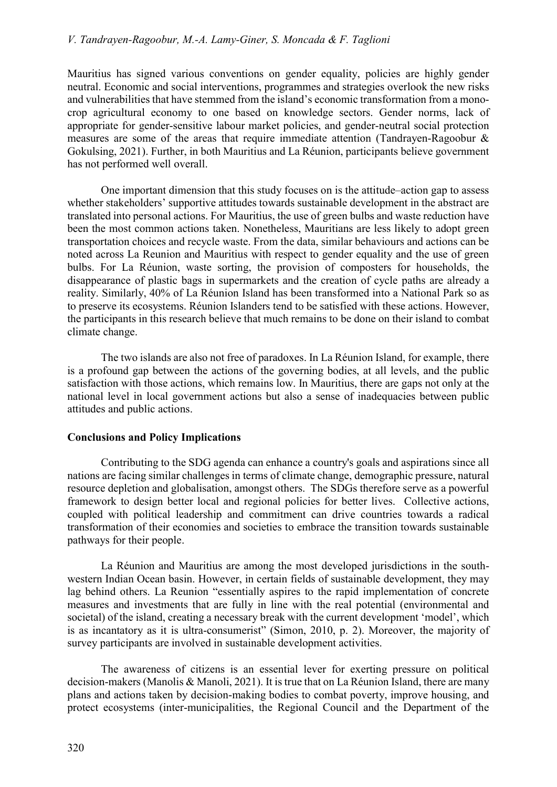Mauritius has signed various conventions on gender equality, policies are highly gender neutral. Economic and social interventions, programmes and strategies overlook the new risks and vulnerabilities that have stemmed from the island's economic transformation from a monocrop agricultural economy to one based on knowledge sectors. Gender norms, lack of appropriate for gender-sensitive labour market policies, and gender-neutral social protection measures are some of the areas that require immediate attention (Tandrayen-Ragoobur & Gokulsing, 2021). Further, in both Mauritius and La Réunion, participants believe government has not performed well overall.

 One important dimension that this study focuses on is the attitude–action gap to assess whether stakeholders' supportive attitudes towards sustainable development in the abstract are translated into personal actions. For Mauritius, the use of green bulbs and waste reduction have been the most common actions taken. Nonetheless, Mauritians are less likely to adopt green transportation choices and recycle waste. From the data, similar behaviours and actions can be noted across La Reunion and Mauritius with respect to gender equality and the use of green bulbs. For La Réunion, waste sorting, the provision of composters for households, the disappearance of plastic bags in supermarkets and the creation of cycle paths are already a reality. Similarly, 40% of La Réunion Island has been transformed into a National Park so as to preserve its ecosystems. Réunion Islanders tend to be satisfied with these actions. However, the participants in this research believe that much remains to be done on their island to combat climate change.

 The two islands are also not free of paradoxes. In La Réunion Island, for example, there is a profound gap between the actions of the governing bodies, at all levels, and the public satisfaction with those actions, which remains low. In Mauritius, there are gaps not only at the national level in local government actions but also a sense of inadequacies between public attitudes and public actions.

## Conclusions and Policy Implications

 Contributing to the SDG agenda can enhance a country's goals and aspirations since all nations are facing similar challenges in terms of climate change, demographic pressure, natural resource depletion and globalisation, amongst others. The SDGs therefore serve as a powerful framework to design better local and regional policies for better lives. Collective actions, coupled with political leadership and commitment can drive countries towards a radical transformation of their economies and societies to embrace the transition towards sustainable pathways for their people.

La Réunion and Mauritius are among the most developed jurisdictions in the southwestern Indian Ocean basin. However, in certain fields of sustainable development, they may lag behind others. La Reunion "essentially aspires to the rapid implementation of concrete measures and investments that are fully in line with the real potential (environmental and societal) of the island, creating a necessary break with the current development 'model', which is as incantatory as it is ultra-consumerist" (Simon, 2010, p. 2). Moreover, the majority of survey participants are involved in sustainable development activities.

 The awareness of citizens is an essential lever for exerting pressure on political decision-makers (Manolis & Manoli, 2021). It is true that on La Réunion Island, there are many plans and actions taken by decision-making bodies to combat poverty, improve housing, and protect ecosystems (inter-municipalities, the Regional Council and the Department of the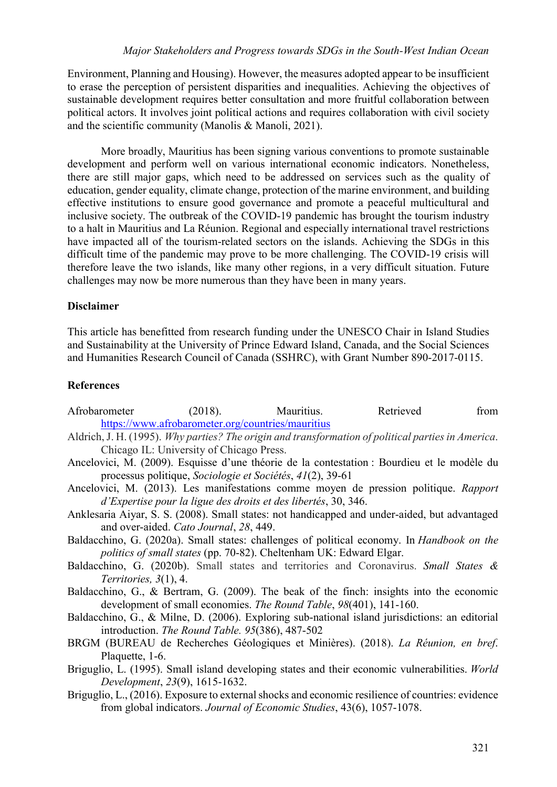Environment, Planning and Housing). However, the measures adopted appear to be insufficient to erase the perception of persistent disparities and inequalities. Achieving the objectives of sustainable development requires better consultation and more fruitful collaboration between political actors. It involves joint political actions and requires collaboration with civil society and the scientific community (Manolis & Manoli, 2021).

 More broadly, Mauritius has been signing various conventions to promote sustainable development and perform well on various international economic indicators. Nonetheless, there are still major gaps, which need to be addressed on services such as the quality of education, gender equality, climate change, protection of the marine environment, and building effective institutions to ensure good governance and promote a peaceful multicultural and inclusive society. The outbreak of the COVID-19 pandemic has brought the tourism industry to a halt in Mauritius and La Réunion. Regional and especially international travel restrictions have impacted all of the tourism-related sectors on the islands. Achieving the SDGs in this difficult time of the pandemic may prove to be more challenging. The COVID-19 crisis will therefore leave the two islands, like many other regions, in a very difficult situation. Future challenges may now be more numerous than they have been in many years.

## Disclaimer

This article has benefitted from research funding under the UNESCO Chair in Island Studies and Sustainability at the University of Prince Edward Island, Canada, and the Social Sciences and Humanities Research Council of Canada (SSHRC), with Grant Number 890-2017-0115.

## References

- Afrobarometer (2018). Mauritius. Retrieved from https://www.afrobarometer.org/countries/mauritius
- Aldrich, J. H. (1995). Why parties? The origin and transformation of political parties in America. Chicago IL: University of Chicago Press.
- Ancelovici, M. (2009). Esquisse d'une théorie de la contestation : Bourdieu et le modèle du processus politique, Sociologie et Sociétés, 41(2), 39-61
- Ancelovici, M. (2013). Les manifestations comme moyen de pression politique. Rapport d'Expertise pour la ligue des droits et des libertés, 30, 346.
- Anklesaria Aiyar, S. S. (2008). Small states: not handicapped and under-aided, but advantaged and over-aided. Cato Journal, 28, 449.
- Baldacchino, G. (2020a). Small states: challenges of political economy. In Handbook on the politics of small states (pp. 70-82). Cheltenham UK: Edward Elgar.
- Baldacchino, G. (2020b). Small states and territories and Coronavirus. Small States & Territories, 3(1), 4.
- Baldacchino, G., & Bertram, G. (2009). The beak of the finch: insights into the economic development of small economies. The Round Table, 98(401), 141-160.
- Baldacchino, G., & Milne, D. (2006). Exploring sub-national island jurisdictions: an editorial introduction. The Round Table. 95(386), 487-502
- BRGM (BUREAU de Recherches Géologiques et Minières). (2018). La Réunion, en bref. Plaquette, 1-6.
- Briguglio, L. (1995). Small island developing states and their economic vulnerabilities. World Development, 23(9), 1615-1632.
- Briguglio, L., (2016). Exposure to external shocks and economic resilience of countries: evidence from global indicators. Journal of Economic Studies, 43(6), 1057-1078.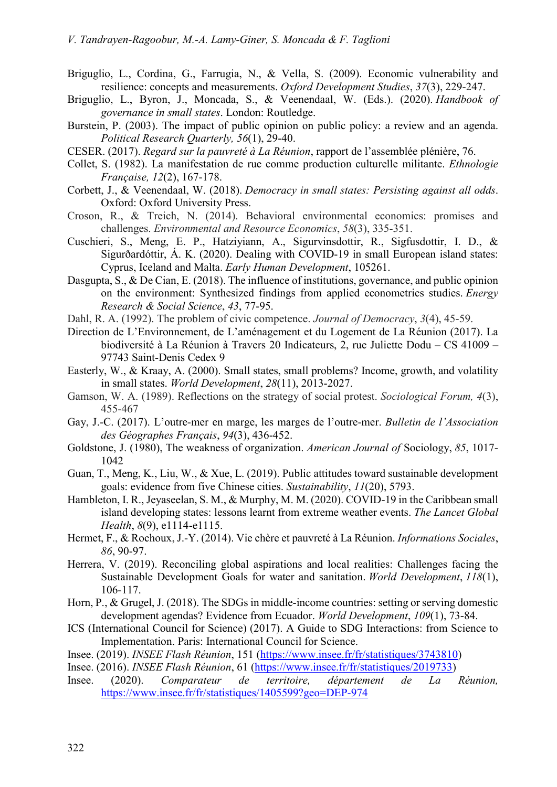- Briguglio, L., Cordina, G., Farrugia, N., & Vella, S. (2009). Economic vulnerability and resilience: concepts and measurements. Oxford Development Studies, 37(3), 229-247.
- Briguglio, L., Byron, J., Moncada, S., & Veenendaal, W. (Eds.). (2020). Handbook of governance in small states. London: Routledge.
- Burstein, P. (2003). The impact of public opinion on public policy: a review and an agenda. Political Research Quarterly, 56(1), 29-40.
- CESER. (2017). Regard sur la pauvreté à La Réunion, rapport de l'assemblée plénière, 76.
- Collet, S. (1982). La manifestation de rue comme production culturelle militante. Ethnologie Française, 12(2), 167-178.
- Corbett, J., & Veenendaal, W. (2018). Democracy in small states: Persisting against all odds. Oxford: Oxford University Press.
- Croson, R., & Treich, N. (2014). Behavioral environmental economics: promises and challenges. Environmental and Resource Economics, 58(3), 335-351.
- Cuschieri, S., Meng, E. P., Hatziyiann, A., Sigurvinsdottir, R., Sigfusdottir, I. D., & Sigurðardóttir, Á. K. (2020). Dealing with COVID-19 in small European island states: Cyprus, Iceland and Malta. Early Human Development, 105261.
- Dasgupta, S., & De Cian, E. (2018). The influence of institutions, governance, and public opinion on the environment: Synthesized findings from applied econometrics studies. Energy Research & Social Science, 43, 77-95.
- Dahl, R. A. (1992). The problem of civic competence. Journal of Democracy, 3(4), 45-59.
- Direction de L'Environnement, de L'aménagement et du Logement de La Réunion (2017). La biodiversité à La Réunion à Travers 20 Indicateurs, 2, rue Juliette Dodu – CS 41009 – 97743 Saint-Denis Cedex 9
- Easterly, W., & Kraay, A. (2000). Small states, small problems? Income, growth, and volatility in small states. World Development, 28(11), 2013-2027.
- Gamson, W. A. (1989). Reflections on the strategy of social protest. Sociological Forum, 4(3), 455-467
- Gay, J.-C. (2017). L'outre-mer en marge, les marges de l'outre-mer. Bulletin de l'Association des Géographes Français, 94(3), 436-452.
- Goldstone, J. (1980), The weakness of organization. American Journal of Sociology, 85, 1017- 1042
- Guan, T., Meng, K., Liu, W., & Xue, L. (2019). Public attitudes toward sustainable development goals: evidence from five Chinese cities. Sustainability, 11(20), 5793.
- Hambleton, I. R., Jeyaseelan, S. M., & Murphy, M. M. (2020). COVID-19 in the Caribbean small island developing states: lessons learnt from extreme weather events. The Lancet Global Health, 8(9), e1114-e1115.
- Hermet, F., & Rochoux, J.-Y. (2014). Vie chère et pauvreté à La Réunion. Informations Sociales, 86, 90-97.
- Herrera, V. (2019). Reconciling global aspirations and local realities: Challenges facing the Sustainable Development Goals for water and sanitation. World Development, 118(1), 106-117.
- Horn, P., & Grugel, J. (2018). The SDGs in middle-income countries: setting or serving domestic development agendas? Evidence from Ecuador. World Development, 109(1), 73-84.
- ICS (International Council for Science) (2017). A Guide to SDG Interactions: from Science to Implementation. Paris: International Council for Science.
- Insee. (2019). INSEE Flash Réunion, 151 (https://www.insee.fr/fr/statistiques/3743810)
- Insee. (2016). INSEE Flash Réunion, 61 (https://www.insee.fr/fr/statistiques/2019733)
- Insee. (2020). Comparateur de territoire, département de La Réunion, https://www.insee.fr/fr/statistiques/1405599?geo=DEP-974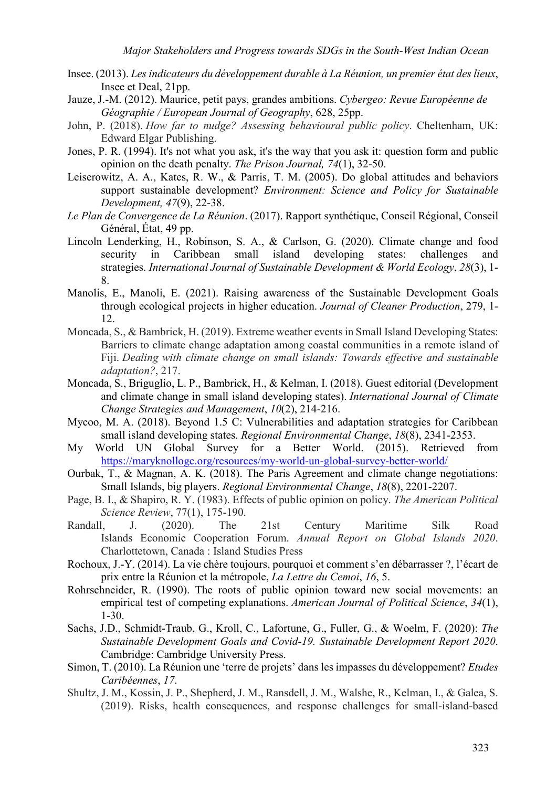- Insee. (2013). Les indicateurs du développement durable à La Réunion, un premier état des lieux, Insee et Deal, 21pp.
- Jauze, J.-M. (2012). Maurice, petit pays, grandes ambitions. Cybergeo: Revue Européenne de Géographie / European Journal of Geography, 628, 25pp.
- John, P. (2018). How far to nudge? Assessing behavioural public policy. Cheltenham, UK: Edward Elgar Publishing.
- Jones, P. R. (1994). It's not what you ask, it's the way that you ask it: question form and public opinion on the death penalty. The Prison Journal, 74(1), 32-50.
- Leiserowitz, A. A., Kates, R. W., & Parris, T. M. (2005). Do global attitudes and behaviors support sustainable development? Environment: Science and Policy for Sustainable Development, 47(9), 22-38.
- Le Plan de Convergence de La Réunion. (2017). Rapport synthétique, Conseil Régional, Conseil Général, État, 49 pp.
- Lincoln Lenderking, H., Robinson, S. A., & Carlson, G. (2020). Climate change and food security in Caribbean small island developing states: challenges and strategies. International Journal of Sustainable Development & World Ecology, 28(3), 1- 8.
- Manolis, E., Manoli, E. (2021). Raising awareness of the Sustainable Development Goals through ecological projects in higher education. Journal of Cleaner Production, 279, 1- 12.
- Moncada, S., & Bambrick, H. (2019). Extreme weather events in Small Island Developing States: Barriers to climate change adaptation among coastal communities in a remote island of Fiji. Dealing with climate change on small islands: Towards effective and sustainable adaptation?, 217.
- Moncada, S., Briguglio, L. P., Bambrick, H., & Kelman, I. (2018). Guest editorial (Development and climate change in small island developing states). International Journal of Climate Change Strategies and Management, 10(2), 214-216.
- Mycoo, M. A. (2018). Beyond 1.5 C: Vulnerabilities and adaptation strategies for Caribbean small island developing states. Regional Environmental Change, 18(8), 2341-2353.
- My World UN Global Survey for a Better World. (2015). Retrieved from https://maryknollogc.org/resources/my-world-un-global-survey-better-world/
- Ourbak, T., & Magnan, A. K. (2018). The Paris Agreement and climate change negotiations: Small Islands, big players. Regional Environmental Change, 18(8), 2201-2207.
- Page, B. I., & Shapiro, R. Y. (1983). Effects of public opinion on policy. The American Political Science Review, 77(1), 175-190.
- Randall, J. (2020). The 21st Century Maritime Silk Road Islands Economic Cooperation Forum. Annual Report on Global Islands 2020. Charlottetown, Canada : Island Studies Press
- Rochoux, J.-Y. (2014). La vie chère toujours, pourquoi et comment s'en débarrasser ?, l'écart de prix entre la Réunion et la métropole, La Lettre du Cemoi, 16, 5.
- Rohrschneider, R. (1990). The roots of public opinion toward new social movements: an empirical test of competing explanations. American Journal of Political Science, 34(1), 1-30.
- Sachs, J.D., Schmidt-Traub, G., Kroll, C., Lafortune, G., Fuller, G., & Woelm, F. (2020): The Sustainable Development Goals and Covid-19. Sustainable Development Report 2020. Cambridge: Cambridge University Press.
- Simon, T. (2010). La Réunion une 'terre de projets' dans les impasses du développement? Etudes Caribéennes, 17.
- Shultz, J. M., Kossin, J. P., Shepherd, J. M., Ransdell, J. M., Walshe, R., Kelman, I., & Galea, S. (2019). Risks, health consequences, and response challenges for small-island-based